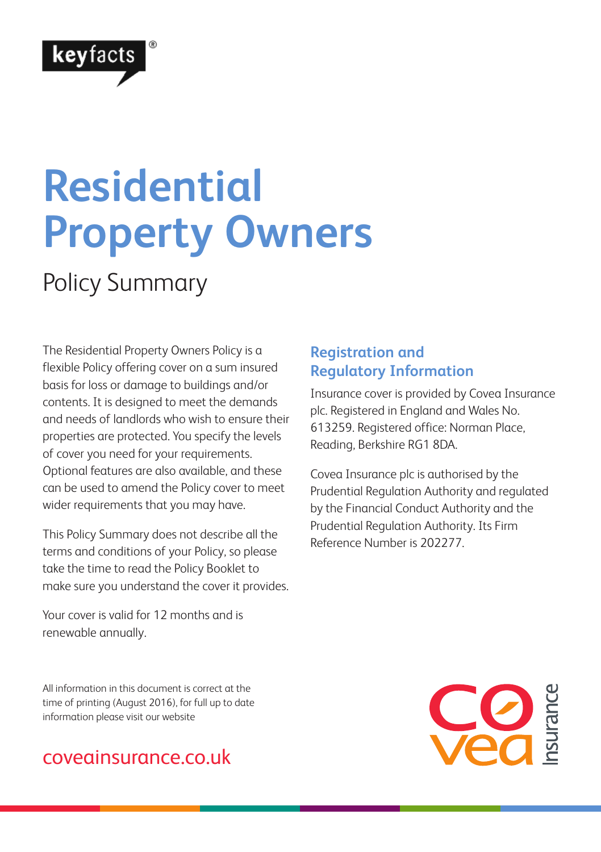

# **Residential Property Owners**

Policy Summary

The Residential Property Owners Policy is a flexible Policy offering cover on a sum insured basis for loss or damage to buildings and/or contents. It is designed to meet the demands and needs of landlords who wish to ensure their properties are protected. You specify the levels of cover you need for your requirements. Optional features are also available, and these can be used to amend the Policy cover to meet wider requirements that you may have.

This Policy Summary does not describe all the terms and conditions of your Policy, so please take the time to read the Policy Booklet to make sure you understand the cover it provides.

Your cover is valid for 12 months and is renewable annually.

All information in this document is correct at the time of printing (August 2016), for full up to date information please visit our website

### coveainsurance.co.uk

### **Registration and Regulatory Information**

Insurance cover is provided by Covea Insurance plc. Registered in England and Wales No. 613259. Registered office: Norman Place, Reading, Berkshire RG1 8DA.

Covea Insurance plc is authorised by the Prudential Regulation Authority and regulated by the Financial Conduct Authority and the Prudential Regulation Authority. Its Firm Reference Number is 202277.

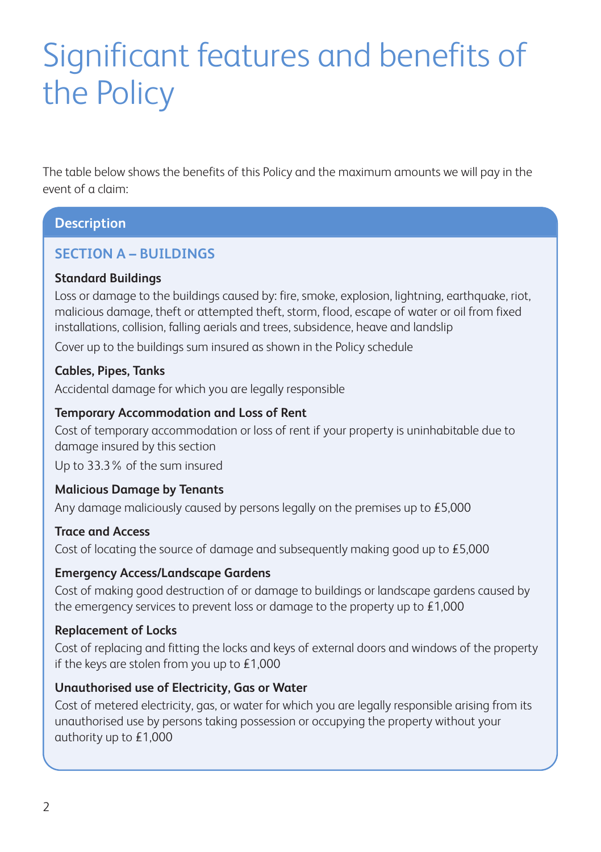# Significant features and benefits of the Policy

The table below shows the benefits of this Policy and the maximum amounts we will pay in the event of a claim:

#### **Description**

#### **SECTION A – BUILDINGS**

#### **Standard Buildings**

Loss or damage to the buildings caused by: fire, smoke, explosion, lightning, earthquake, riot, malicious damage, theft or attempted theft, storm, flood, escape of water or oil from fixed installations, collision, falling aerials and trees, subsidence, heave and landslip

Cover up to the buildings sum insured as shown in the Policy schedule

#### **Cables, Pipes, Tanks**

Accidental damage for which you are legally responsible

#### **Temporary Accommodation and Loss of Rent**

Cost of temporary accommodation or loss of rent if your property is uninhabitable due to damage insured by this section

Up to 33.3% of the sum insured

#### **Malicious Damage by Tenants**

Any damage maliciously caused by persons legally on the premises up to £5,000

#### **Trace and Access**

Cost of locating the source of damage and subsequently making good up to £5,000

#### **Emergency Access/Landscape Gardens**

Cost of making good destruction of or damage to buildings or landscape gardens caused by the emergency services to prevent loss or damage to the property up to £1,000

#### **Replacement of Locks**

Cost of replacing and fitting the locks and keys of external doors and windows of the property if the keys are stolen from you up to £1,000

#### **Unauthorised use of Electricity, Gas or Water**

Cost of metered electricity, gas, or water for which you are legally responsible arising from its unauthorised use by persons taking possession or occupying the property without your authority up to £1,000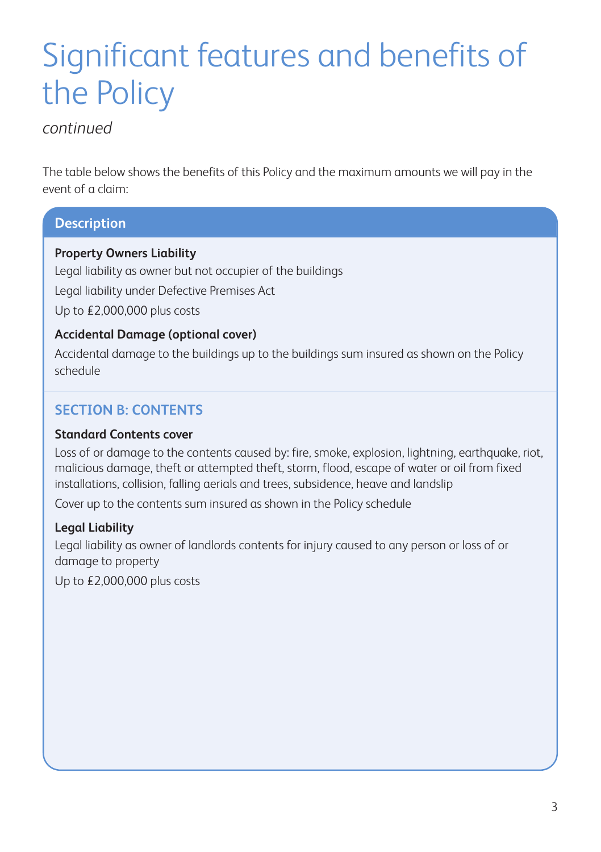# Significant features and benefits of the Policy

#### *continued*

The table below shows the benefits of this Policy and the maximum amounts we will pay in the event of a claim:

#### **Description**

#### **Property Owners Liability**

Legal liability as owner but not occupier of the buildings Legal liability under Defective Premises Act Up to £2,000,000 plus costs

#### **Accidental Damage (optional cover)**

Accidental damage to the buildings up to the buildings sum insured as shown on the Policy schedule

#### **SECTION B: CONTENTS**

#### **Standard Contents cover**

Loss of or damage to the contents caused by: fire, smoke, explosion, lightning, earthquake, riot, malicious damage, theft or attempted theft, storm, flood, escape of water or oil from fixed installations, collision, falling aerials and trees, subsidence, heave and landslip

Cover up to the contents sum insured as shown in the Policy schedule

#### **Legal Liability**

Legal liability as owner of landlords contents for injury caused to any person or loss of or damage to property

Up to £2,000,000 plus costs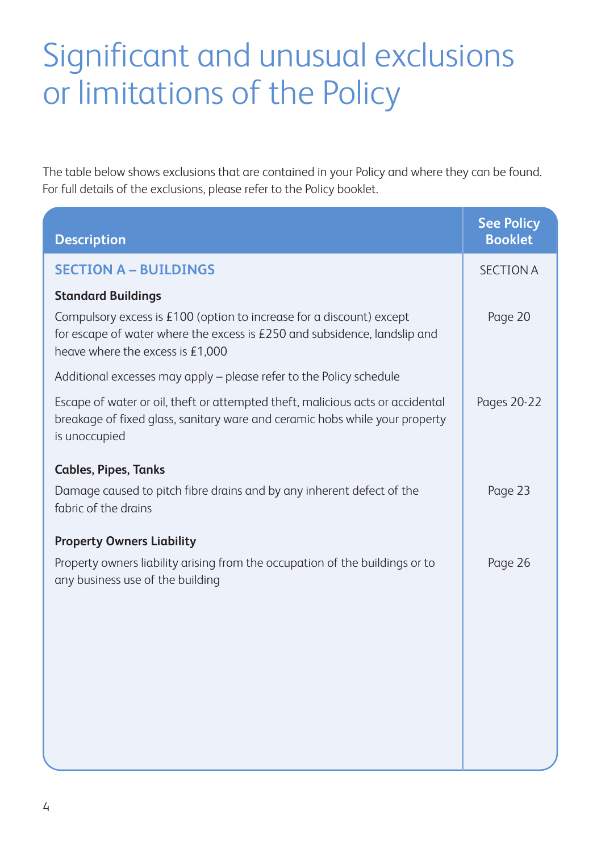# Significant and unusual exclusions or limitations of the Policy

The table below shows exclusions that are contained in your Policy and where they can be found. For full details of the exclusions, please refer to the Policy booklet.

| <b>Description</b>                                                                                                                                                                      | <b>See Policy</b><br><b>Booklet</b> |
|-----------------------------------------------------------------------------------------------------------------------------------------------------------------------------------------|-------------------------------------|
| <b>SECTION A - BUILDINGS</b>                                                                                                                                                            | <b>SECTION A</b>                    |
| <b>Standard Buildings</b>                                                                                                                                                               |                                     |
| Compulsory excess is $£100$ (option to increase for a discount) except<br>for escape of water where the excess is £250 and subsidence, landslip and<br>heave where the excess is £1,000 | Page 20                             |
| Additional excesses may apply - please refer to the Policy schedule                                                                                                                     |                                     |
| Escape of water or oil, theft or attempted theft, malicious acts or accidental<br>breakage of fixed glass, sanitary ware and ceramic hobs while your property<br>is unoccupied          | Pages 20-22                         |
| <b>Cables, Pipes, Tanks</b>                                                                                                                                                             |                                     |
| Damage caused to pitch fibre drains and by any inherent defect of the<br>fabric of the drains                                                                                           | Page 23                             |
| <b>Property Owners Liability</b>                                                                                                                                                        |                                     |
| Property owners liability arising from the occupation of the buildings or to<br>any business use of the building                                                                        | Page 26                             |
|                                                                                                                                                                                         |                                     |
|                                                                                                                                                                                         |                                     |
|                                                                                                                                                                                         |                                     |
|                                                                                                                                                                                         |                                     |
|                                                                                                                                                                                         |                                     |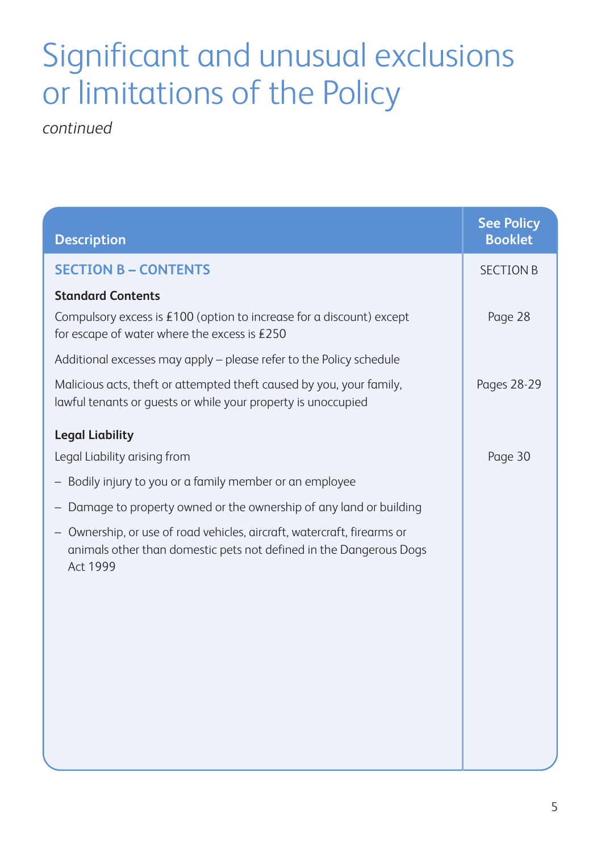## Significant and unusual exclusions or limitations of the Policy

*continued*

| <b>Description</b>                                                                                                                                             | <b>See Policy</b><br><b>Booklet</b> |
|----------------------------------------------------------------------------------------------------------------------------------------------------------------|-------------------------------------|
| <b>SECTION B - CONTENTS</b>                                                                                                                                    | <b>SECTION B</b>                    |
| <b>Standard Contents</b>                                                                                                                                       |                                     |
| Compulsory excess is $£100$ (option to increase for a discount) except<br>for escape of water where the excess is £250                                         | Page 28                             |
| Additional excesses may apply – please refer to the Policy schedule                                                                                            |                                     |
| Malicious acts, theft or attempted theft caused by you, your family,<br>lawful tenants or guests or while your property is unoccupied                          | <b>Pages 28-29</b>                  |
| <b>Legal Liability</b>                                                                                                                                         |                                     |
| Legal Liability arising from                                                                                                                                   | Page 30                             |
| - Bodily injury to you or a family member or an employee                                                                                                       |                                     |
| - Damage to property owned or the ownership of any land or building                                                                                            |                                     |
| Ownership, or use of road vehicles, aircraft, watercraft, firearms or<br>animals other than domestic pets not defined in the Dangerous Dogs<br><b>Act 1999</b> |                                     |
|                                                                                                                                                                |                                     |
|                                                                                                                                                                |                                     |
|                                                                                                                                                                |                                     |
|                                                                                                                                                                |                                     |
|                                                                                                                                                                |                                     |
|                                                                                                                                                                |                                     |
|                                                                                                                                                                |                                     |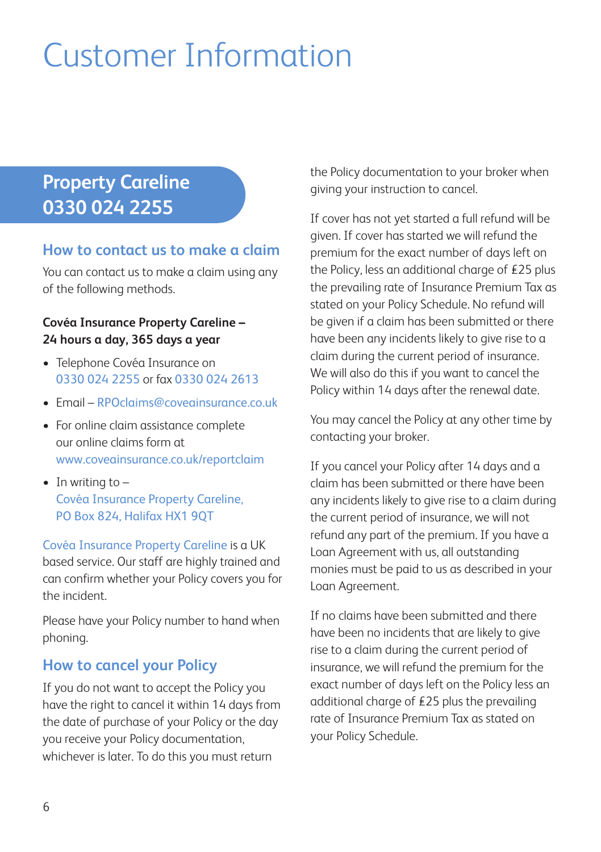# Customer Information

### **Property Careline 0330 024 2255**

#### **How to contact us to make a claim**

You can contact us to make a claim using any of the following methods.

#### **Covéa Insurance Property Careline – 24 hours a day, 365 days a year**

- Telephone Covéa Insurance on 0330 024 2255 or fax 0330 024 2613
- Email RPOclaims@coveainsurance.co.uk
- For online claim assistance complete our online claims form at www.coveainsurance.co.uk/reportclaim
- In writing to Covéa Insurance Property Careline, PO Box 824, Halifax HX1 90T

Covéa Insurance Property Careline is a UK based service. Our staff are highly trained and can confirm whether your Policy covers you for the incident.

Please have your Policy number to hand when phoning.

### **How to cancel your Policy**

If you do not want to accept the Policy you have the right to cancel it within 14 days from the date of purchase of your Policy or the day you receive your Policy documentation, whichever is later. To do this you must return

the Policy documentation to your broker when giving your instruction to cancel.

If cover has not yet started a full refund will be given. If cover has started we will refund the premium for the exact number of days left on the Policy, less an additional charge of £25 plus the prevailing rate of Insurance Premium Tax as stated on your Policy Schedule. No refund will be given if a claim has been submitted or there have been any incidents likely to give rise to a claim during the current period of insurance. We will also do this if you want to cancel the Policy within 14 days after the renewal date.

You may cancel the Policy at any other time by contacting your broker.

If you cancel your Policy after 14 days and a claim has been submitted or there have been any incidents likely to give rise to a claim during the current period of insurance, we will not refund any part of the premium. If you have a Loan Agreement with us, all outstanding monies must be paid to us as described in your Loan Agreement.

If no claims have been submitted and there have been no incidents that are likely to give rise to a claim during the current period of insurance, we will refund the premium for the exact number of days left on the Policy less an additional charge of £25 plus the prevailing rate of Insurance Premium Tax as stated on your Policy Schedule.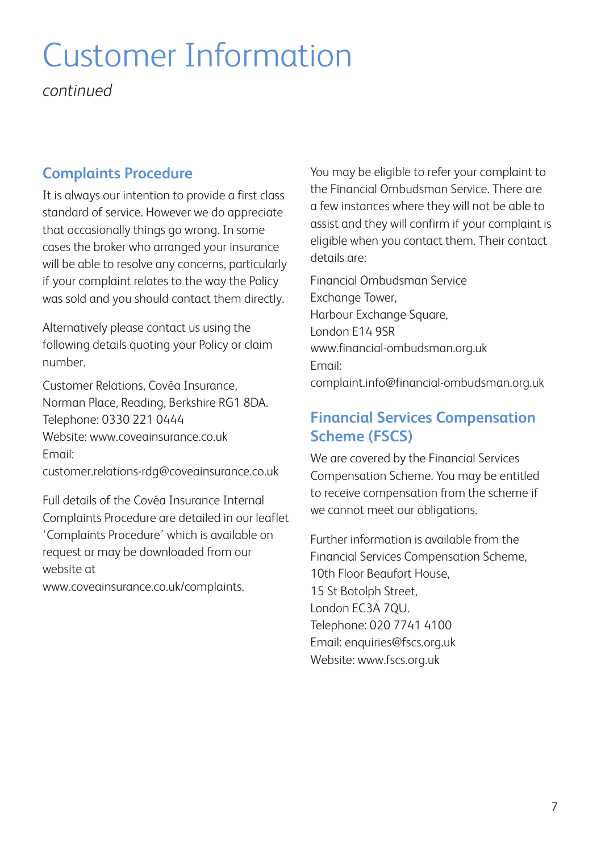# Customer Information

*continued*

### **Complaints Procedure**

It is always our intention to provide a first class standard of service. However we do appreciate that occasionally things go wrong. In some cases the broker who arranged your insurance will be able to resolve any concerns, particularly if your complaint relates to the way the Policy was sold and you should contact them directly.

Alternatively please contact us using the following details quoting your Policy or claim number.

Customer Relations, Covéa Insurance, Norman Place, Reading, Berkshire RG1 8DA. Telephone: 0330 221 0444 Website: www.coveginsurance.co.uk Email:

customer.relations-rdg@coveainsurance.co.uk

Full details of the Covéa Insurance Internal Complaints Procedure are detailed in our leaflet 'Complaints Procedure' which is available on request or may be downloaded from our website at

www.coveainsurance.co.uk/complaints.

You may be eligible to refer your complaint to the Financial Ombudsman Service. There are a few instances where they will not be able to assist and they will confirm if your complaint is eligible when you contact them. Their contact details are:

Financial Ombudsman Service Exchange Tower, Harbour Exchange Square, London E14 9SR www.financial-ombudsman.org.uk Email: complaint.info@financial-ombudsman.org.uk

### **Financial Services Compensation Scheme (FSCS)**

We are covered by the Financial Services Compensation Scheme. You may be entitled to receive compensation from the scheme if we cannot meet our obligations.

Further information is available from the Financial Services Compensation Scheme, 10th Floor Beaufort House, 15 St Botolph Street, London EC3A 7QU. Telephone: 020 7741 4100 Email: enquiries@fscs.org.uk Website: www.fscs.org.uk